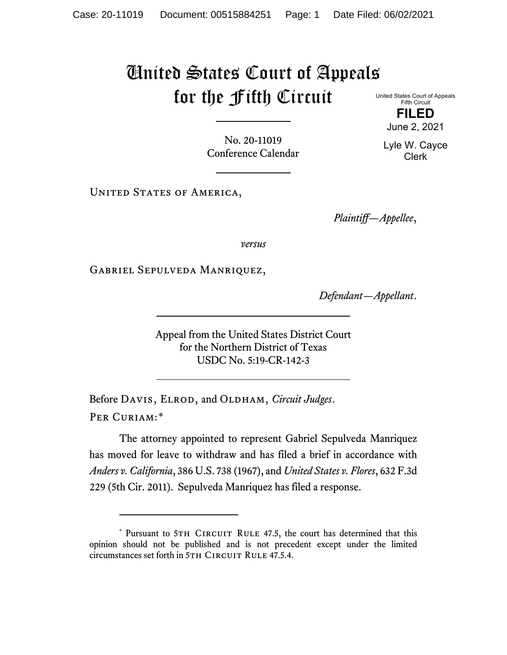## United States Court of Appeals for the Fifth Circuit

No. 20-11019 Conference Calendar

UNITED STATES OF AMERICA,

*Plaintiff—Appellee*,

*versus*

Gabriel Sepulveda Manriquez,

*Defendant—Appellant*.

Appeal from the United States District Court for the Northern District of Texas USDC No. 5:19-CR-142-3

Before DAVIS, ELROD, and OLDHAM, *Circuit Judges*. Per Curiam:[\\*](#page-0-0)

The attorney appointed to represent Gabriel Sepulveda Manriquez has moved for leave to withdraw and has filed a brief in accordance with *Anders v. California*, 386 U.S. 738 (1967), and *United States v. Flores*, 632 F.3d 229 (5th Cir. 2011). Sepulveda Manriquez has filed a response.

United States Court of Appeals Fifth Circuit **FILED**

June 2, 2021

Lyle W. Cayce Clerk

<span id="page-0-0"></span><sup>\*</sup> Pursuant to 5TH CIRCUIT RULE 47.5, the court has determined that this opinion should not be published and is not precedent except under the limited circumstances set forth in 5TH CIRCUIT RULE 47.5.4.